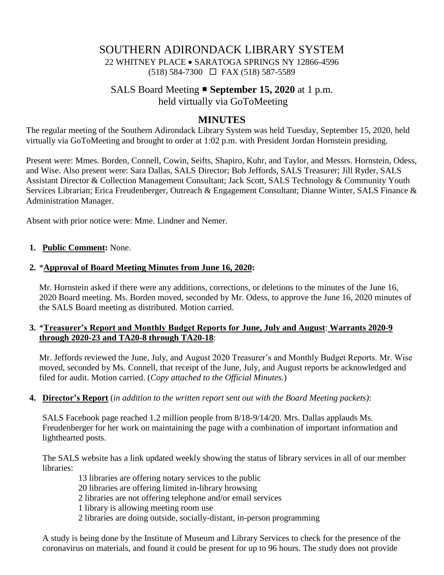## SOUTHERN ADIRONDACK LIBRARY SYSTEM 22 WHITNEY PLACE • SARATOGA SPRINGS NY 12866-4596 (518) 584-7300 FAX (518) 587-5589

# SALS Board Meeting **September 15, 2020** at 1 p.m. held virtually via GoToMeeting

### **MINUTES**

The regular meeting of the Southern Adirondack Library System was held Tuesday, September 15, 2020, held virtually via GoToMeeting and brought to order at 1:02 p.m. with President Jordan Hornstein presiding.

Present were: Mmes. Borden, Connell, Cowin, Seifts, Shapiro, Kuhr, and Taylor, and Messrs. Hornstein, Odess, and Wise. Also present were: Sara Dallas, SALS Director; Bob Jeffords, SALS Treasurer; Jill Ryder, SALS Assistant Director & Collection Management Consultant; Jack Scott, SALS Technology & Community Youth Services Librarian; Erica Freudenberger, Outreach & Engagement Consultant; Dianne Winter, SALS Finance & Administration Manager.

Absent with prior notice were: Mme. Lindner and Nemer.

### **1. Public Comment:** None.

### **2.** \***Approval of Board Meeting Minutes from June 16, 2020:**

Mr. Hornstein asked if there were any additions, corrections, or deletions to the minutes of the June 16, 2020 Board meeting. Ms. Borden moved, seconded by Mr. Odess, to approve the June 16, 2020 minutes of the SALS Board meeting as distributed. Motion carried.

### **3.** \***Treasurer's Report and Monthly Budget Reports for June, July and August**: **Warrants 2020-9 through 2020-23 and TA20-8 through TA20-18**:

Mr. Jeffords reviewed the June, July, and August 2020 Treasurer's and Monthly Budget Reports. Mr. Wise moved, seconded by Ms. Connell, that receipt of the June, July, and August reports be acknowledged and filed for audit. Motion carried. (*Copy attached to the Official Minutes.*)

#### **4. Director's Report** (*in addition to the written report sent out with the Board Meeting packets)*:

SALS Facebook page reached 1.2 million people from 8/18-9/14/20. Mrs. Dallas applauds Ms. Freudenberger for her work on maintaining the page with a combination of important information and lighthearted posts.

The SALS website has a link updated weekly showing the status of library services in all of our member libraries:

13 libraries are offering notary services to the public

20 libraries are offering limited in-library browsing

2 libraries are not offering telephone and/or email services

1 library is allowing meeting room use

2 libraries are doing outside, socially-distant, in-person programming

A study is being done by the Institute of Museum and Library Services to check for the presence of the coronavirus on materials, and found it could be present for up to 96 hours. The study does not provide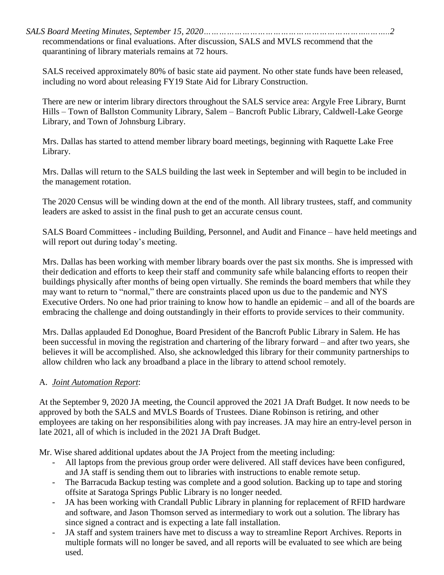*SALS Board Meeting Minutes, September 15, 2020………………………………………………………..……..2* recommendations or final evaluations. After discussion, SALS and MVLS recommend that the quarantining of library materials remains at 72 hours.

SALS received approximately 80% of basic state aid payment. No other state funds have been released, including no word about releasing FY19 State Aid for Library Construction.

There are new or interim library directors throughout the SALS service area: Argyle Free Library, Burnt Hills – Town of Ballston Community Library, Salem – Bancroft Public Library, Caldwell-Lake George Library, and Town of Johnsburg Library.

Mrs. Dallas has started to attend member library board meetings, beginning with Raquette Lake Free Library.

Mrs. Dallas will return to the SALS building the last week in September and will begin to be included in the management rotation.

The 2020 Census will be winding down at the end of the month. All library trustees, staff, and community leaders are asked to assist in the final push to get an accurate census count.

SALS Board Committees - including Building, Personnel, and Audit and Finance – have held meetings and will report out during today's meeting.

Mrs. Dallas has been working with member library boards over the past six months. She is impressed with their dedication and efforts to keep their staff and community safe while balancing efforts to reopen their buildings physically after months of being open virtually. She reminds the board members that while they may want to return to "normal," there are constraints placed upon us due to the pandemic and NYS Executive Orders. No one had prior training to know how to handle an epidemic – and all of the boards are embracing the challenge and doing outstandingly in their efforts to provide services to their community.

Mrs. Dallas applauded Ed Donoghue, Board President of the Bancroft Public Library in Salem. He has been successful in moving the registration and chartering of the library forward – and after two years, she believes it will be accomplished. Also, she acknowledged this library for their community partnerships to allow children who lack any broadband a place in the library to attend school remotely.

### A. *Joint Automation Report*:

At the September 9, 2020 JA meeting, the Council approved the 2021 JA Draft Budget. It now needs to be approved by both the SALS and MVLS Boards of Trustees. Diane Robinson is retiring, and other employees are taking on her responsibilities along with pay increases. JA may hire an entry-level person in late 2021, all of which is included in the 2021 JA Draft Budget.

Mr. Wise shared additional updates about the JA Project from the meeting including:

- All laptops from the previous group order were delivered. All staff devices have been configured, and JA staff is sending them out to libraries with instructions to enable remote setup.
- The Barracuda Backup testing was complete and a good solution. Backing up to tape and storing offsite at Saratoga Springs Public Library is no longer needed.
- JA has been working with Crandall Public Library in planning for replacement of RFID hardware and software, and Jason Thomson served as intermediary to work out a solution. The library has since signed a contract and is expecting a late fall installation.
- JA staff and system trainers have met to discuss a way to streamline Report Archives. Reports in multiple formats will no longer be saved, and all reports will be evaluated to see which are being used.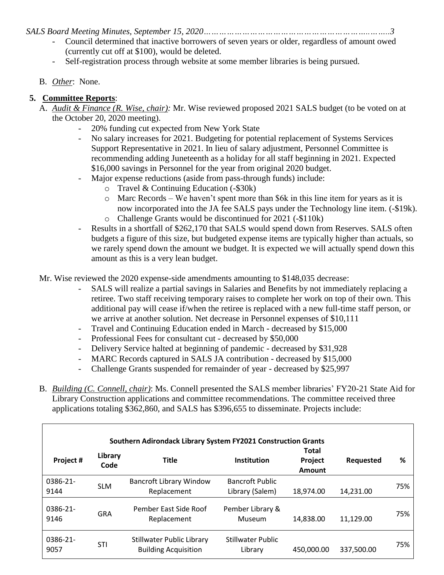*SALS Board Meeting Minutes, September 15, 2020………………………………………………………..……..3*

- Council determined that inactive borrowers of seven years or older, regardless of amount owed (currently cut off at \$100), would be deleted.
- Self-registration process through website at some member libraries is being pursued.
- B. *Other*: None.

## **5. Committee Reports**:

- A. *Audit & Finance (R. Wise, chair):* Mr. Wise reviewed proposed 2021 SALS budget (to be voted on at the October 20, 2020 meeting).
	- 20% funding cut expected from New York State
	- No salary increases for 2021. Budgeting for potential replacement of Systems Services Support Representative in 2021. In lieu of salary adjustment, Personnel Committee is recommending adding Juneteenth as a holiday for all staff beginning in 2021. Expected \$16,000 savings in Personnel for the year from original 2020 budget.
	- Major expense reductions (aside from pass-through funds) include:
		- o Travel & Continuing Education (-\$30k)
		- o Marc Records We haven't spent more than \$6k in this line item for years as it is now incorporated into the JA fee SALS pays under the Technology line item. (-\$19k).
		- o Challenge Grants would be discontinued for 2021 (-\$110k)
	- Results in a shortfall of \$262,170 that SALS would spend down from Reserves. SALS often budgets a figure of this size, but budgeted expense items are typically higher than actuals, so we rarely spend down the amount we budget. It is expected we will actually spend down this amount as this is a very lean budget.

Mr. Wise reviewed the 2020 expense-side amendments amounting to \$148,035 decrease:

- SALS will realize a partial savings in Salaries and Benefits by not immediately replacing a retiree. Two staff receiving temporary raises to complete her work on top of their own. This additional pay will cease if/when the retiree is replaced with a new full-time staff person, or we arrive at another solution. Net decrease in Personnel expenses of \$10,111
- Travel and Continuing Education ended in March decreased by \$15,000
- Professional Fees for consultant cut decreased by \$50,000
- Delivery Service halted at beginning of pandemic decreased by \$31,928
- MARC Records captured in SALS JA contribution decreased by \$15,000
- Challenge Grants suspended for remainder of year decreased by \$25,997
- B. *Building (C. Connell, chair)*: Ms. Connell presented the SALS member libraries' FY20-21 State Aid for Library Construction applications and committee recommendations. The committee received three applications totaling \$362,860, and SALS has \$396,655 to disseminate. Projects include:

| Southern Adirondack Library System FY2021 Construction Grants |                 |                                                          |                                           |                                   |            |     |
|---------------------------------------------------------------|-----------------|----------------------------------------------------------|-------------------------------------------|-----------------------------------|------------|-----|
| Project #                                                     | Library<br>Code | <b>Title</b>                                             | <b>Institution</b>                        | <b>Total</b><br>Project<br>Amount | Requested  | %   |
| 0386-21-<br>9144                                              | <b>SLM</b>      | <b>Bancroft Library Window</b><br>Replacement            | <b>Bancroft Public</b><br>Library (Salem) | 18,974.00                         | 14,231.00  | 75% |
| 0386-21-<br>9146                                              | <b>GRA</b>      | Pember East Side Roof<br>Replacement                     | Pember Library &<br>Museum                | 14,838.00                         | 11,129.00  | 75% |
| 0386-21-<br>9057                                              | <b>STI</b>      | Stillwater Public Library<br><b>Building Acquisition</b> | Stillwater Public<br>Library              | 450,000.00                        | 337,500.00 | 75% |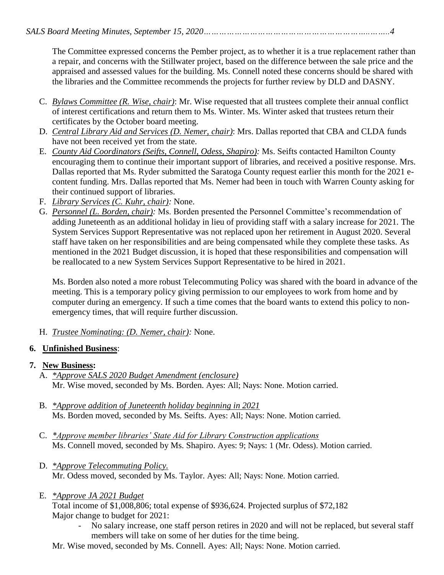The Committee expressed concerns the Pember project, as to whether it is a true replacement rather than a repair, and concerns with the Stillwater project, based on the difference between the sale price and the appraised and assessed values for the building. Ms. Connell noted these concerns should be shared with the libraries and the Committee recommends the projects for further review by DLD and DASNY.

- C. *Bylaws Committee (R. Wise, chair)*: Mr. Wise requested that all trustees complete their annual conflict of interest certifications and return them to Ms. Winter. Ms. Winter asked that trustees return their certificates by the October board meeting.
- D. *Central Library Aid and Services (D. Nemer, chair)*: Mrs. Dallas reported that CBA and CLDA funds have not been received yet from the state.
- E. *County Aid Coordinators (Seifts, Connell, Odess, Shapiro):* Ms. Seifts contacted Hamilton County encouraging them to continue their important support of libraries, and received a positive response. Mrs. Dallas reported that Ms. Ryder submitted the Saratoga County request earlier this month for the 2021 econtent funding. Mrs. Dallas reported that Ms. Nemer had been in touch with Warren County asking for their continued support of libraries.
- F. *Library Services (C. Kuhr, chair):* None.
- G. *Personnel (L. Borden, chair):* Ms. Borden presented the Personnel Committee's recommendation of adding Juneteenth as an additional holiday in lieu of providing staff with a salary increase for 2021. The System Services Support Representative was not replaced upon her retirement in August 2020. Several staff have taken on her responsibilities and are being compensated while they complete these tasks. As mentioned in the 2021 Budget discussion, it is hoped that these responsibilities and compensation will be reallocated to a new System Services Support Representative to be hired in 2021.

Ms. Borden also noted a more robust Telecommuting Policy was shared with the board in advance of the meeting. This is a temporary policy giving permission to our employees to work from home and by computer during an emergency. If such a time comes that the board wants to extend this policy to nonemergency times, that will require further discussion.

H. *Trustee Nominating: (D. Nemer, chair):* None.

## **6. Unfinished Business**:

## **7. New Business:**

- A. *\*Approve SALS 2020 Budget Amendment (enclosure)* Mr. Wise moved, seconded by Ms. Borden. Ayes: All; Nays: None. Motion carried.
- B. *\*Approve addition of Juneteenth holiday beginning in 2021* Ms. Borden moved, seconded by Ms. Seifts. Ayes: All; Nays: None. Motion carried.
- C. *\*Approve member libraries' State Aid for Library Construction applications* Ms. Connell moved, seconded by Ms. Shapiro. Ayes: 9; Nays: 1 (Mr. Odess). Motion carried.
- D. *\*Approve Telecommuting Policy.* Mr. Odess moved, seconded by Ms. Taylor. Ayes: All; Nays: None. Motion carried.
- E. *\*Approve JA 2021 Budget*

Total income of \$1,008,806; total expense of \$936,624. Projected surplus of \$72,182 Major change to budget for 2021:

- No salary increase, one staff person retires in 2020 and will not be replaced, but several staff members will take on some of her duties for the time being.
- Mr. Wise moved, seconded by Ms. Connell. Ayes: All; Nays: None. Motion carried.